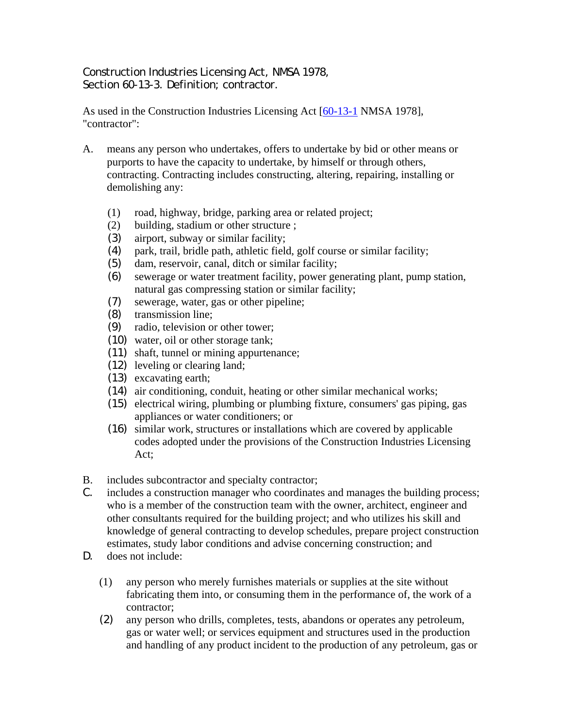Construction Industries Licensing Act, NMSA 1978, Section 60-13-3. Definition: contractor.

As used in the Construction Industries Licensing Act [60-13-1 NMSA 1978], "contractor":

- A. means any person who undertakes, offers to undertake by bid or other means or purports to have the capacity to undertake, by himself or through others, contracting. Contracting includes constructing, altering, repairing, installing or demolishing any:
	- (1) road, highway, bridge, parking area or related project;
	- (2) building, stadium or other structure ;
	- (3) airport, subway or similar facility;
	- (4) park, trail, bridle path, athletic field, golf course or similar facility;
	- (5) dam, reservoir, canal, ditch or similar facility;
	- (6) sewerage or water treatment facility, power generating plant, pump station, natural gas compressing station or similar facility;
	- (7) sewerage, water, gas or other pipeline;
	- (8) transmission line;
	- (9) radio, television or other tower;
	- (10) water, oil or other storage tank;
	- (11) shaft, tunnel or mining appurtenance;
	- (12) leveling or clearing land;
	- (13) excavating earth;
	- (14) air conditioning, conduit, heating or other similar mechanical works;
	- (15) electrical wiring, plumbing or plumbing fixture, consumers' gas piping, gas appliances or water conditioners; or
	- (16) similar work, structures or installations which are covered by applicable codes adopted under the provisions of the Construction Industries Licensing Act;
- B. includes subcontractor and specialty contractor;
- C. includes a construction manager who coordinates and manages the building process; who is a member of the construction team with the owner, architect, engineer and other consultants required for the building project; and who utilizes his skill and knowledge of general contracting to develop schedules, prepare project construction estimates, study labor conditions and advise concerning construction; and
- D. does not include:
	- (1) any person who merely furnishes materials or supplies at the site without fabricating them into, or consuming them in the performance of, the work of a contractor;
	- (2) any person who drills, completes, tests, abandons or operates any petroleum, gas or water well; or services equipment and structures used in the production and handling of any product incident to the production of any petroleum, gas or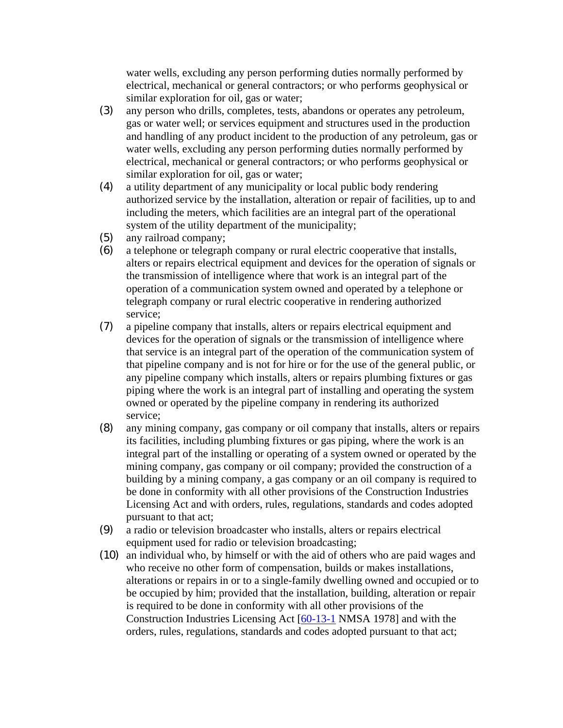water wells, excluding any person performing duties normally performed by electrical, mechanical or general contractors; or who performs geophysical or similar exploration for oil, gas or water;

- (3) any person who drills, completes, tests, abandons or operates any petroleum, gas or water well; or services equipment and structures used in the production and handling of any product incident to the production of any petroleum, gas or water wells, excluding any person performing duties normally performed by electrical, mechanical or general contractors; or who performs geophysical or similar exploration for oil, gas or water;
- (4) a utility department of any municipality or local public body rendering authorized service by the installation, alteration or repair of facilities, up to and including the meters, which facilities are an integral part of the operational system of the utility department of the municipality;
- (5) any railroad company;
- (6) a telephone or telegraph company or rural electric cooperative that installs, alters or repairs electrical equipment and devices for the operation of signals or the transmission of intelligence where that work is an integral part of the operation of a communication system owned and operated by a telephone or telegraph company or rural electric cooperative in rendering authorized service;
- (7) a pipeline company that installs, alters or repairs electrical equipment and devices for the operation of signals or the transmission of intelligence where that service is an integral part of the operation of the communication system of that pipeline company and is not for hire or for the use of the general public, or any pipeline company which installs, alters or repairs plumbing fixtures or gas piping where the work is an integral part of installing and operating the system owned or operated by the pipeline company in rendering its authorized service;
- (8) any mining company, gas company or oil company that installs, alters or repairs its facilities, including plumbing fixtures or gas piping, where the work is an integral part of the installing or operating of a system owned or operated by the mining company, gas company or oil company; provided the construction of a building by a mining company, a gas company or an oil company is required to be done in conformity with all other provisions of the Construction Industries Licensing Act and with orders, rules, regulations, standards and codes adopted pursuant to that act;
- (9) a radio or television broadcaster who installs, alters or repairs electrical equipment used for radio or television broadcasting;
- (10) an individual who, by himself or with the aid of others who are paid wages and who receive no other form of compensation, builds or makes installations, alterations or repairs in or to a single-family dwelling owned and occupied or to be occupied by him; provided that the installation, building, alteration or repair is required to be done in conformity with all other provisions of the Construction Industries Licensing Act [60-13-1 NMSA 1978] and with the orders, rules, regulations, standards and codes adopted pursuant to that act;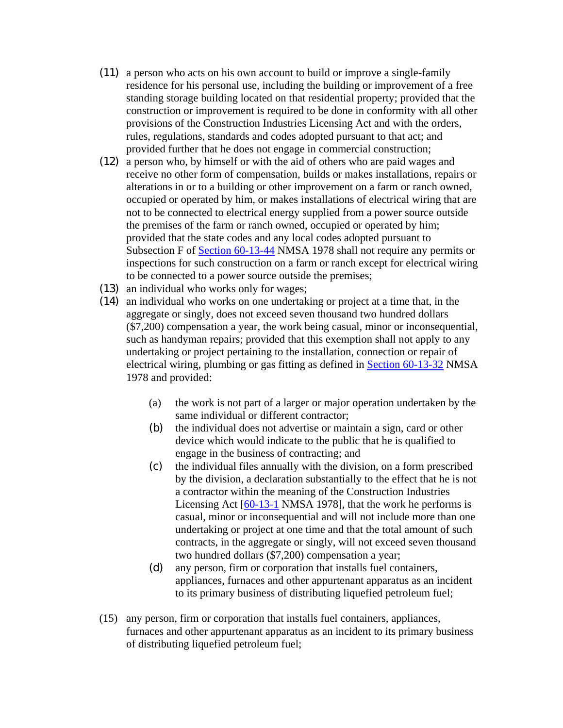- (11) a person who acts on his own account to build or improve a single-family residence for his personal use, including the building or improvement of a free standing storage building located on that residential property; provided that the construction or improvement is required to be done in conformity with all other provisions of the Construction Industries Licensing Act and with the orders, rules, regulations, standards and codes adopted pursuant to that act; and provided further that he does not engage in commercial construction;
- (12) a person who, by himself or with the aid of others who are paid wages and receive no other form of compensation, builds or makes installations, repairs or alterations in or to a building or other improvement on a farm or ranch owned, occupied or operated by him, or makes installations of electrical wiring that are not to be connected to electrical energy supplied from a power source outside the premises of the farm or ranch owned, occupied or operated by him; provided that the state codes and any local codes adopted pursuant to Subsection F of Section 60-13-44 NMSA 1978 shall not require any permits or inspections for such construction on a farm or ranch except for electrical wiring to be connected to a power source outside the premises;
- (13) an individual who works only for wages;
- (14) an individual who works on one undertaking or project at a time that, in the aggregate or singly, does not exceed seven thousand two hundred dollars (\$7,200) compensation a year, the work being casual, minor or inconsequential, such as handyman repairs; provided that this exemption shall not apply to any undertaking or project pertaining to the installation, connection or repair of electrical wiring, plumbing or gas fitting as defined in Section 60-13-32 NMSA 1978 and provided:
	- (a) the work is not part of a larger or major operation undertaken by the same individual or different contractor;
	- (b) the individual does not advertise or maintain a sign, card or other device which would indicate to the public that he is qualified to engage in the business of contracting; and
	- (c) the individual files annually with the division, on a form prescribed by the division, a declaration substantially to the effect that he is not a contractor within the meaning of the Construction Industries Licensing Act  $[60-13-1]$  NMSA 1978], that the work he performs is casual, minor or inconsequential and will not include more than one undertaking or project at one time and that the total amount of such contracts, in the aggregate or singly, will not exceed seven thousand two hundred dollars (\$7,200) compensation a year;
	- (d) any person, firm or corporation that installs fuel containers, appliances, furnaces and other appurtenant apparatus as an incident to its primary business of distributing liquefied petroleum fuel;
- (15) any person, firm or corporation that installs fuel containers, appliances, furnaces and other appurtenant apparatus as an incident to its primary business of distributing liquefied petroleum fuel;